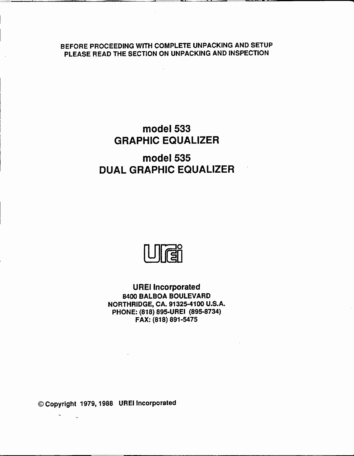BEFORE PROCEEDING WITH COMPLETE UNPACKING AND SETUP PLEASE READ THE SECTION ON UNPACKING AND INSPECTION

# model 533 GRAPHIC EQUALIZER

# model 535 DUAL GRAPHIC EQUALIZER

ren

UREI Incorporated 8400 BALBOA BOULEVARD NORTHRIDGE, CA. 91325-4100 U.S.A. PHONE: (818) 895 -UREI (895-8734) FAX: (818) 891-5475

© Copyright 1979, 1988 UREI Incorporated

 $\bar{\mathbf{v}}$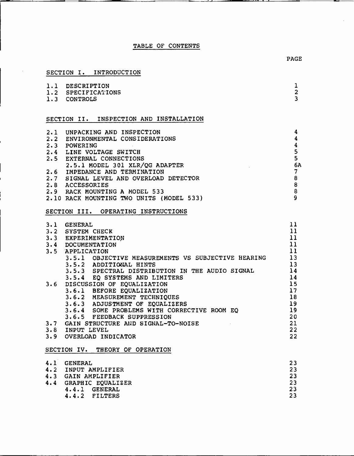# TABLE OF CONTENTS

# SECTION I. INTRODUCTION

 $\boldsymbol{\gamma}$ 

| 1.1 DESCRIPTION<br>1.2 SPECIFICATIONS<br>1.3 CONTROLS                                                                                                                                                                                                                                                                      | ı<br>$\overline{a}$<br>$\overline{3}$                                                                                                                                                    |  |  |
|----------------------------------------------------------------------------------------------------------------------------------------------------------------------------------------------------------------------------------------------------------------------------------------------------------------------------|------------------------------------------------------------------------------------------------------------------------------------------------------------------------------------------|--|--|
| SECTION II. INSPECTION AND INSTALLATION                                                                                                                                                                                                                                                                                    |                                                                                                                                                                                          |  |  |
| 2.1 UNPACKING AND INSPECTION<br>2.2 ENVIRONMENTAL CONSIDERATIONS<br>2.3 POWERING<br>2.4 LINE VOLTAGE SWITCH<br>2.5 EXTERNAL CONNECTIONS<br>2.5 LIMPEDANCE AND TERMINATION<br>2.6 IMPEDANCE AND TERMINATION<br>2.7 SIGNAL LEVEL AND OVERLOAD                                                                                | $\overline{\mathbf{4}}$<br>$\boldsymbol{4}$<br>$\overline{\mathbf{4}}$<br>5<br>$5\overline{5}$<br>$\overline{6A}$<br>$\overline{\phantom{a}}$ 8<br>$\overline{8}$<br>8<br>$\overline{9}$ |  |  |
| SECTION III. OPERATING INSTRUCTIONS                                                                                                                                                                                                                                                                                        |                                                                                                                                                                                          |  |  |
| 3.1 GENERAL<br>3.2 SYSTEM CHECK<br>3.3 EXPERIMENTATION<br>3.4 DOCUMENTATION<br>3.5 APPLICATION<br>APPLICATION<br>3.5.1 OBJECTIVE MEASUREMENTS VS SUBJECTIVE HEARING<br>3.5.2 ADDITIONAL HINTS<br>3.5.2 ADDITIONAL HINTS<br>3.5.3 SPECTRAL DISTRIBUTION IN THE AUDIO SIGNAL 14                                              | 11<br>11<br>11<br>11<br>11<br>$\overline{13}$<br>13                                                                                                                                      |  |  |
| 3.5.3 SPECTRAL DISTRIBUTION IN THE AODIO SIGNAL<br>3.5.4 EQ SYSTEMS AND LIMITERS<br>3.6 DISCUSSION OF EQUALIZATION<br>3.6.1 BEFORE EQUALIZATION<br>3.6.2 MEASUREMENT TECHNIQUES<br>3.6.3 ADJUSTMENT OF EQUALIZERS<br>3.6.4 SOME PROBLEMS W<br>3.8 INPUT LEVEL<br>3.9 OVERLOAD INDICATOR<br>SECTION IV. THEORY OF OPERATION | 22<br>22                                                                                                                                                                                 |  |  |

| 4.1 GENERAL           | 23 |
|-----------------------|----|
| 4.2 INPUT AMPLIFIER   | 23 |
| 4.3 GAIN AMPLIFIER    | 23 |
| 4.4 GRAPHIC EQUALIZER | 23 |
| 4.4.1 GENERAL         | 23 |
| 4.4.2 FILTERS         | 23 |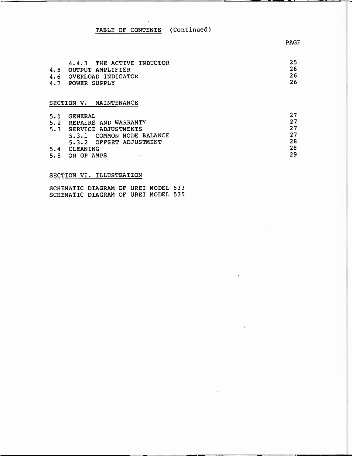# TABLE OF CONTENTS (Continued)

| 4.6 | 4.4.3 THE ACTIVE INDUCTOR<br>4.5 OUTPUT AMPLIFIER<br>OVERLOAD INDICATOR<br>4.7 POWER SUPPLY | 25<br>26<br>26<br>26 |
|-----|---------------------------------------------------------------------------------------------|----------------------|
|     | MAINTENANCE<br>SECTION V.                                                                   |                      |

# 5.1 GENERAL 27<br>5.2 REPAIRS AND WARRANTY 27 5.2 REPAIRS AND WARRANTY<br>5.3 SERVICE ADJUSTMENTS 27 5.3 SERVICE ADJUSTMENTS 27<br>5.3.1 COMMON MODE BALANCE 27 5.3.1 COMMON MODE BALANCE 27 5.3.2 OFFSET ADJUSTMENT 28 5.4 CLEANING 28 5.5 ON OP AMPS 29

# SECTION VI. ILLUSTRATION

SCHEMATIC DIAGRAM OF UREI MODEL 533 SCHEMATIC DIAGRAM OF UREI MODEL 535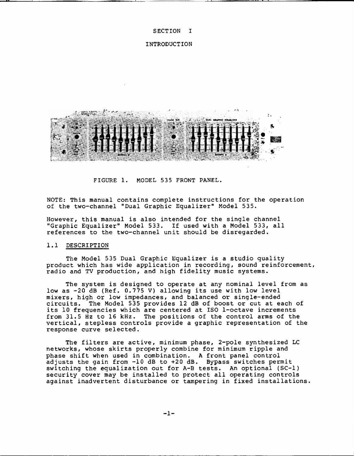#### SECTION I

#### INTRODUCTION



FIGURE 1. MODEL 535 FRONT PANEL.

NOTE: This manual contains complete instructions for the operation of the two-channel "Dual Graphic Equalizer" Model 535.

However, this manual is also intended for the single channel "Graphic Equalizer" Model 533. If used with a Model 533, all references to the two-channel unit should be disregarded.

#### 1.1 DESCRIPTION

The Model 535 Dual Graphic Equalizer is a studio quality product which has wide application in recording, sound reinforcement, radio and TV production, and high fidelity music systems.

The system is designed to operate at any nominal level from as low as -20 dB (Ref. 0.775 V) allowing its use with low level mixers, high or low impedances, and balanced or single-ended circuits. The Model 535 provides 12 dB of boost or cut at each of its 10 frequencies which are centered at ISO 1-octave increments from 31.5 Hz to 16 kHz. The positions of the control arms of the vertical, stepless controls provide a graphic representation of the response curve selected.

The filters are active, minimum phase, 2-pole synthesized LC networks, whose skirts properly combine for minimum ripple and phase shift when used in combination. A front panel control adjusts the gain from  $-10$  dB to  $+20$  dB. Bypass switches permit switching the equalization out for A-B tests. An optional (SC-1) security cover may be installed to protect all operating controls against inadvertent disturbance or tampering in fixed installations.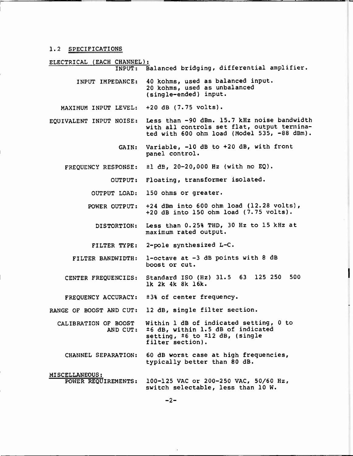## 1.2 SPECIFICATIONS

ELECTRICAL (EACH CHANNEL):<br>
INPUT: B INPUT: Balanced bridging, differential amplifier. INPUT IMPEDANCE: MAXIMUM INPUT LEVEL: +20 dB (7.75 volts). EQUIVALENT INPUT NOISE: Less than -90 dBm. 15.7 kHz noise bandwidth GAIN: Variable, -10 dB to +20 dB, with front FREQUENCY RESPONSE: ±1 dB, 20-20,000 Hz (with no EQ). OUTPUT: Floating, transformer isolated. OUTPUT LOAD: POWER OUTPUT: DISTORTION: FILTER TYPE: 2-pole synthesized L-C. FILTER BANDWIDTH: CENTER FREQUENCIES: FREQUENCY ACCURACY: ±3% of center frequency. RANGE OF BOOST AND CUT: CALIBRATION OF BOOST AND CUT: 40 kohms, used as balanced input. 20 kohms, used as unbalanced (single -ended) input. with all controls set flat, output terminated with 600 ohm load (Model 535, -88 dBm). panel control. 150 ohms or greater. +24 dBm into 600 ohm load (12.28 volts), +20 dB into 150 ohm load (7.75 volts). Less than 0.25% THD, 30 Hz to 15 kHz at maximum rated output. <sup>1</sup>-octave at -3 dB points with 8 dB boost or cut. Standard ISO (Hz) 31.5 63 125 250 500 lk 2k 4k 8k 16k. 12 dB, single filter section. Within 1 dB of indicated setting, 0 to ±6 dB, within 1.5 dB of indicated setting, ±6 to ±12 dB, (single filter section). CHANNEL SEPARATION: 60 dB worst case at high frequencies, typically better than 80 dB. MISCELLANEOUS:<br>POWER REQUIREMENTS:

100-125 VAC or 200-250 VAC, 50/60 Hz, switch selectable, less than 10 W.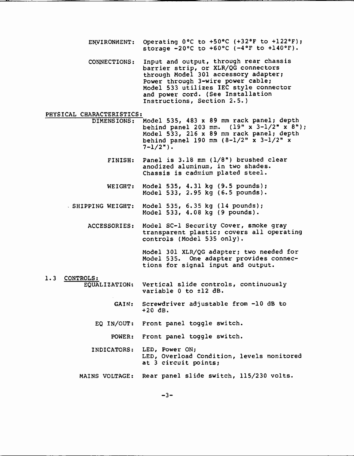ENVIRONMENT: Operating 0°C to +50°C (+32°F to +122°F); storage  $-20^{\circ}$ C to  $+60^{\circ}$ C ( $-4^{\circ}$ F to  $+140^{\circ}$ F).

CONNECTIONS: Input and output, through rear chassis barrier strip, or XLR/QG connectors through Model 301 accessory adapter; Power through 3-wire power cable; Model 533 utilizes IEC style connector and power cord. (See Installation Instructions, Section 2.5.)

# PHYSICAL CHARACTERISTICS:<br>DIMENSIONS:

- Model 535, 483 x 89 mm rack panel; depth behind panel 203 mm.  $(19" x^3-1/2" x^8")$ ; Model 533, 216 x 89 mm rack panel; depth behind panel 190 mm (8-1/2" x 3-1/2" x  $7 - 1/2"$ ).
	- FINISH: Panel is 3.18 mm (1/8") brushed clear anodized aluminum, in two shades. Chassis is cadmium plated steel.
	- WEIGHT: Model 535, 4.31 kg (9.5 pounds); Model 533, 2.95 kg (6.5 pounds).
- SHIPPING WEIGHT: Model 535, 6.35 kg (14 pounds); Model 533, 4.08 kg (9 pounds).
	- ACCESSORIES: Model SC-1 Security Cover, smoke gray transparent plastic; covers all operating controls (Model 535 only).

Model 301 XLR/QG adapter; two needed for Model 535. One adapter provides connections for signal input and output.

# 1.3 CONTROLS:

EQUALIZATION: Vertical slide controls, continuously variable 0 to ±12 dB.

- GAIN: Screwdriver adjustable from -10 dB to +20 dB.
- EQ IN/OUT: Front panel toggle switch.
	- POWER: Front panel toggle switch.
- INDICATORS: LED, Power ON; LED, Overload Condition, levels monitored at 3 circuit points;
- MAINS VOLTAGE: Rear panel slide switch, 115/230 volts.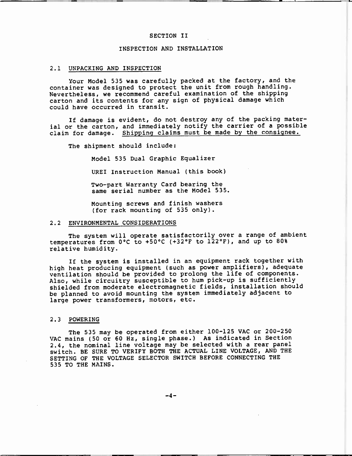# SECTION II

#### INSPECTION AND INSTALLATION

#### 2.1 UNPACKING AND INSPECTION

Your Model 535 was carefully packed at the factory, and the container was designed to protect the unit from rough handling. Nevertheless, we recommend careful examination of the shipping carton and its contents for any sign of physical damage which could have occurred in transit.

If damage is evident, do not destroy any of the packing material or the carton, and immediately notify the carrier of a possible claim for damage. Shipping claims must be made by the consignee.

The shipment should include:

Model 535 Dual Graphic Equalizer

UREI Instruction Manual (this book)

Two-part Warranty Card bearing the same serial number as the Model 535.

Mounting screws and finish washers (for rack mounting of 535 only).

#### 2.2 ENVIRONMENTAL CONSIDERATIONS

The system will operate satisfactorily over a range of ambient temperatures from 0°C to +50°C (+32°F to 122°F), and up to 80% relative humidity.

If the system is installed in an equipment rack together with high heat producing equipment (such as power amplifiers), adequate ventilation should be provided to prolong the life of components. Also, while circuitry susceptible to hum pick-up is sufficiently shielded from moderate electromagnetic fields, installation should be planned to avoid mounting the system immediately adjacent to large power transformers, motors, etc.

#### 2.3 POWERING

The 535 may be operated from either 100-125 VAC or 200-250 VAC mains (50 or 60 Hz, single phase.) As indicated in Section 2.4, the nominal line voltage may be selected with a rear panel switch. BE SURE TO VERIFY BOTH THE ACTUAL LINE VOLTAGE, AND THE SETTING OF THE VOLTAGE SELECTOR SWITCH BEFORE CONNECTING THE 535 TO THE MAINS.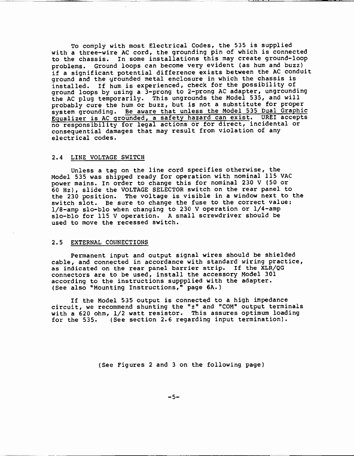To comply with most Electrical Codes, the 535 is supplied with a three-wire AC cord, the grounding pin of which is connected to the chassis. In some installations this may create ground-loop problems. Ground loops can become very evident (as hum and buzz) if <sup>a</sup>significant potential difference exists between the AC conduit ground and the grounded metal enclosure in which the chassis is installed. If hum is experienced, check for the possibility of ground loops by using a 3-prong to 2-prong AC adapter, ungrounding the AC plug temporarily. This ungrounds the Model 535, and will probably cure the hum or buzz, but is not a substitute for proper system grounding. Be aware that unless the Model 535 Dual Graphic Equalizer is AC grounded, a safety hazard can exist. UREI accepts no responsibility for legal actions or for direct, incidental or consequential damages that may result from violation of any electrical codes.

#### 2.4 LINE VOLTAGE SWITCH

Unless a tag on the line cord specifies otherwise, the Model 535 was shipped ready for operation with nominal 115 VAC power mains. In order to change this for nominal 230 V (50 or 60 Hz), slide the VOLTAGE SELECTOR switch on the rear panel to the 230 position. The voltage is visible in a window next to the switch slot. Be sure to change the fuse to the correct value: 1/8-amp slo-blo when changing to 230 V operation or 1/4-amp slo-blo for 115 V operation. A small screwdriver should be used to move the recessed switch.

#### 2.5 EXTERNAL CONNECTIONS

Permanent input and output signal wires should be shielded cable, and connected in accordance with standard wiring practice, as indicated on the rear panel barrier strip. If the XLR/QG connectors are to be used, install the accessory Model 301 according to the instructions suppplied with the adapter. (See also "Mounting Instructions," page 6A.)

If the Model 535 output is connected to a high impedance circuit, we recommend shunting the "±" and "COM" output terminals with a 620 ohm, 1/2 watt resistor. This assures optimum loading for the 535. (See section 2.6 regarding input termination).

(See Figures 2 and 3 on the following page)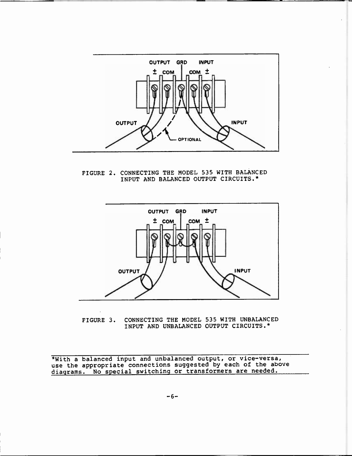

FIGURE 2. CONNECTING THE MODEL 535 WITH BALANCED INPUT AND BALANCED OUTPUT CIRCUITS.\*



FIGURE 3. CONNECTING THE MODEL 535 WITH UNBALANCED INPUT AND UNBALANCED OUTPUT CIRCUITS.\*

\*With a balanced input and unbalanced output, or vice-versa, use the appropriate connections suggested by each of the above diagrams. No special switching or transformers are needed.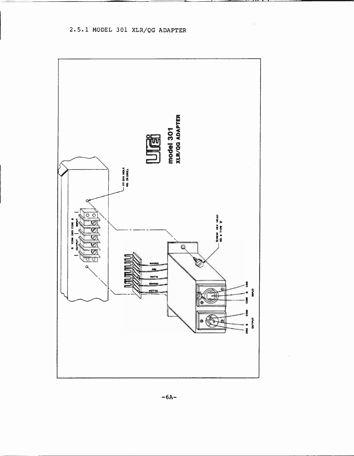2.5.1 MODEL 301 XLR/QG ADAPTER



 $-6A-$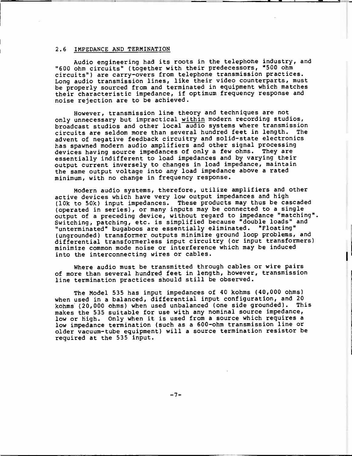## 2.6 IMPEDANCE AND TERMINATION

Audio engineering had its roots in the telephone industry, and "600 ohm circuits" (together with their predecessors, "500 ohm circuits") are carry-overs from telephone transmission practices. Long audio transmission lines, like their video counterparts, must be properly sourced from and terminated in equipment which matches their characteristic impedance, if optimum frequency response and noise rejection are to be achieved.

However, transmission line theory and techniques are not only unnecessary but impractical within modern recording studios, broadcast studios and other local audio systems where transmission<br>circuits are seldom more than several hundred feet in length. The circuits are seldom more than several hundred feet in length. advent of negative feedback circuitry and solid-state electronics has spawned modern audio amplifiers and other signal processing devices having source impedances of only a few ohms. They are essentially indifferent to load impedances and by varying their output current inversely to changes in load impedance, maintain the same output voltage into any load impedance above a rated minimum, with no change in frequency response.

Modern audio systems, therefore, utilize amplifiers and other active devices which have very low output impedances and high (10k to 50k) input impedances. These products may thus be cascaded (operated in series), or many inputs may be connected to a single output of a preceding device, without regard to impedance "matching". Switching, patching, etc. is simplified because "double loads" and "unterminated" bugaboos are essentially eliminated. "Floating" (ungrounded) transformer outputs minimize ground loop problems, and differential transformerless input circuitry (or input transformers) minimize common mode noise or interference which may be induced into the interconnecting wires or cables.

Where audio must be transmitted through cables or wire pairs of more than several hundred feet in length, however, transmission line termination practices should still be observed.

The Model 535 has input impedances of 40 kohms (40,000 ohms) when used in a balanced, differential input configuration, and 20 kohms (20,000 ohms) when used unbalanced (one side grounded). This makes the 535 suitable for use with any nominal source impedance, low or high. Only when it is used from a source which requires a low impedance termination (such as a 600-ohm transmission line or older vacuum-tube equipment) will a source termination resistor be required at the 535 input.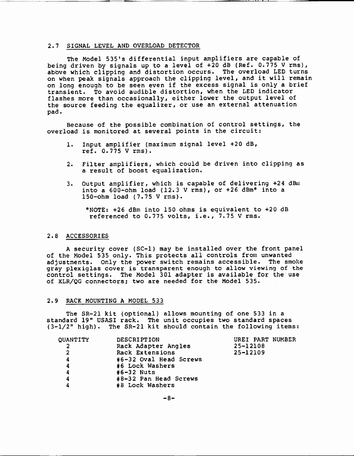#### 2.7 SIGNAL LEVEL AND OVERLOAD DETECTOR

The Model 535's differential input amplifiers are capable of being driven by signals up to a level of +20 dB (Ref. 0.775 V rms), above which clipping and distortion occurs. The overload LED turns on when peak signals approach the clipping level, and it will remain on long enough to be seen even if the excess signal is only a brief transient. To avoid audible distortion, when the LED indicator flashes more than occasionally, either lower the output level of the source feeding the equalizer, or use an external attenuation pad.

Because of the possible combination of control settings, the overload is monitored at several points in the circuit:

- 1. Input amplifier (maximum signal level +20 dB, ref. 0.775 V rms).
- 2. Filter amplifiers. which could be driven into clipping as a result of boost equalization.
- 3. Output amplifier, which is capable of delivering +24 dBm into a  $600$ -ohm load (12.3 V rms), or  $+26$  dBm\* into a 150 -ohm load (7.75 V rms).

\*NOTE: +26 dBm into 150 ohms is equivalent to +20 dB referenced to 0.775 volts, i.e., 7.75 V rms.

#### 2.8 ACCESSORIES

A security cover (SC-1) may be installed over the front panel of the Model 535 only. This protects all controls from unwanted adjustments. Only the power switch remains accessible. The smoke gray plexiglas cover is transparent enough to allow viewing of the control settings. The Model 301 adapter is available for the use of XLR/QG connectors; two are needed for the Model 535.

#### 2.9 RACK MOUNTING A MODEL 533

The SR-21 kit (optional) allows mounting of one 533 in a standard 19" USASI rack. The unit occupies two standard spaces  $(3-1/2"$  high). The SR-21 kit should contain the following items:

| QUANTITY       | <b>DESCRIPTION</b>     | UREI PART NUMBER |
|----------------|------------------------|------------------|
| -2             | Rack Adapter Angles    | 25-12108         |
| $\overline{2}$ | Rack Extensions        | 25-12109         |
| 4              | #6-32 Oval Head Screws |                  |
| 4              | #6 Lock Washers        |                  |
| 4              | $#6 - 32$ Nuts         |                  |
| 4              | #8-32 Pan Head Screws  |                  |
|                | #8 Lock Washers        |                  |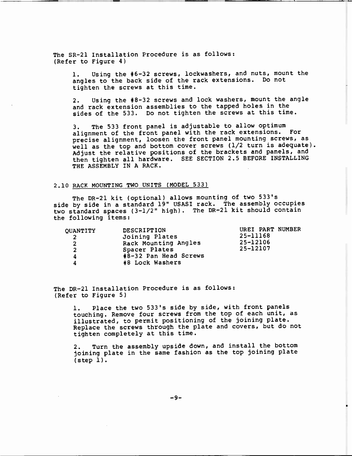The SR-21 Installation Procedure is as follows: (Refer to Figure 4)

> 1. Using the #6-32 screws, lockwashers, and nuts, mount the angles to the back side of the rack extensions. Do not tighten the screws at this time.

> 2. Using the #8-32 screws and lock washers, mount the angle and rack extension assemblies to the tapped holes in the sides of the 533. Do not tighten the screws at this time.

3. The 533 front panel is adjustable to allow optimum alignment of the front panel with the rack extensions. For precise alignment, loosen the front panel mounting screws, as well as the top and bottom cover screws (1/2 turn is adequate). Adjust the relative positions of the brackets and panels, and then tighten all hardware. SEE SECTION 2.5 BEFORE INSTALLING THE ASSEMBLY IN A RACK.

#### 2.10 RACK MOUNTING TWO UNITS (MODEL 533)

The DR -21 kit (optional) allows mounting of two 533's side by side in a standard 19" USASI rack. The assembly occupies two standard spaces (3-1/2" high). The DR-21 kit should contain the following items:

| OUANTITY<br><sup>2</sup> | DESCRIPTION<br>Joining Plates          | UREI PART NUMBER<br>25-11168 |
|--------------------------|----------------------------------------|------------------------------|
| $\overline{2}$           | Rack Mounting Angles                   | 25-12106<br>25-12107         |
| $\overline{2}$<br>4      | Spacer Plates<br>#8-32 Pan Head Screws |                              |
| 4                        | #8 Lock Washers                        |                              |

The DR-21 Installation Procedure is as follows: (Refer to Figure 5)

> 1. Place the two 533's side by side, with front panels touching. Remove four screws from the top of each unit, as illustrated, to permit positioning of the joining plate. Replace the screws through the plate and covers, but do not tighten completely at this time.

2. Turn the assembly upside down, and install the bottom joining plate in the same fashion as the top joining plate (step 1).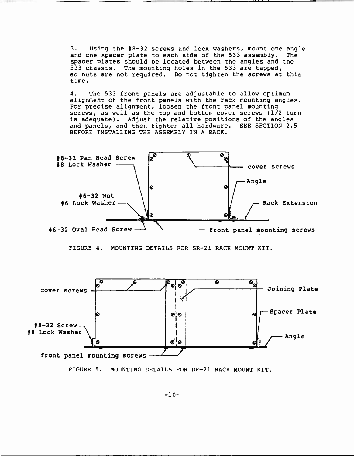3. Using the #8-32 screws and lock washers, mount one angle and one spacer plate to each side of the 533 assembly. The spacer plates should be located between the angles and the 533 chassis. The mounting holes in the 533 are tapped, so nuts are not required. Do not tighten the screws at this time.

4. The 533 front panels are adjustable to allow optimum alignment of the front panels with the rack mounting angles. For precise alignment, loosen the front panel mounting screws, as well as the top and bottom cover screws (1/2 turn is adequate). Adjust the relative positions of the angles and panels, and then tighten all hardware. SEE SECTION 2.5 BEFORE INSTALLING THE ASSEMBLY IN A RACK.



FIGURE 4. MOUNTING DETAILS FOR SR-21 RACK MOUNT KIT.





-10-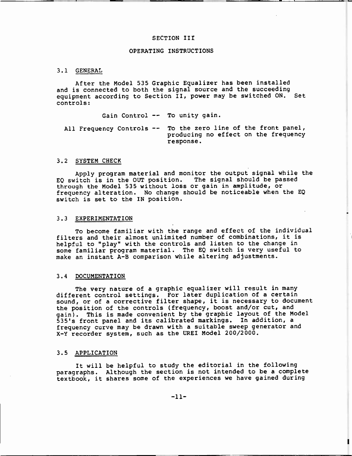#### SECTION III

#### OPERATING INSTRUCTIONS

#### 3.1 GENERAL

After the Model 535 Graphic Equalizer has been installed and is connected to both the signal source and the succeeding equipment according to Section II, power may be switched ON. Set controls:

Gain Control -- To unity gain.

All Frequency Controls -- To the zero line of the front panel, producing no effect on the frequency response.

#### 3.2 SYSTEM CHECK

Apply program material and monitor the output signal while the<br>vitch is in the OUT position. The signal should be passed  $EQ$  switch is in the OUT position. through the Model 535 without loss or gain in amplitude, or frequency alteration. No change should be noticeable when the EQ switch is set to the IN position.

#### 3.3 EXPERIMENTATION

To become familiar with the range and effect of the individual filters and their almost unlimited number of combinations, it is helpful to "play" with the controls and listen to the change in some familiar program material. The EQ switch is very useful to make an instant A-B comparison while altering adjustments.

#### 3.4 DOCUMENTATION

The very nature of a graphic equalizer will result in many different control settings. For later duplication of a certain sound, or of a corrective filter shape, it is necessary to document the position of the controls (frequency, boost and/or cut, and gain). This is made convenient by the graphic layout of the Model 535's front panel and its calibrated markings. In addition, a frequency curve may be drawn with a suitable sweep generator and X-Y recorder system, such as the UREI Model 200/2000.

#### 3.5 APPLICATION

It will be helpful to study the editorial in the following paragraphs. Although the section is not intended to be a complete textbook, it shares some of the experiences we have gained during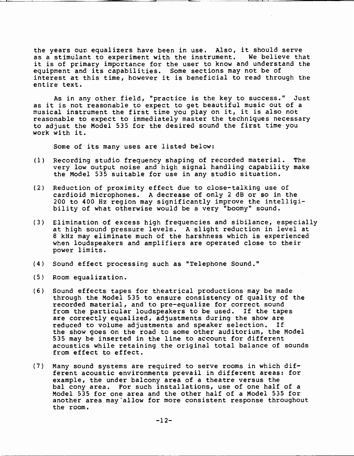the years our equalizers have been in use. Also, it should serve as a stimulant to experiment with the instrument. We believe that it is of primary importance for the user to know and understand the equipment and its capabilities. Some sections may not be of interest at this time, however it is beneficial to read through the entire text.

As in any other field, "practice is the key to success." Just as it is not reasonable to expect to get beautiful music out of a musical instrument the first time you play on it, it is also not reasonable to expect to immediately master the techniques necessary to adjust the Model 535 for the desired sound the first time you work with it.

Some of its many uses are listed below:

- (1) Recording studio frequency shaping of recorded material. The very low output noise and high signal handling capability make the Model 535 suitable for use in any studio situation.
- (2) Reduction of proximity effect due to close-talking use of cardioid microphones. A decrease of only 2 dB or so in the 200 to 400 Hz region may significantly improve the intelligibility of what otherwise would be a very "boomy" sound.
- (3) Elimination of excess high frequencies and sibilance, especially at high sound pressure levels. A slight reduction in level at <sup>8</sup>kHz may eliminate much of the harshness which is experienced when loudspeakers and amplifiers are operated close to their power limits.
- (4) Sound effect processing such as "Telephone Sound."
- (5) Room equalization.
- (6) Sound effects tapes for theatrical productions may be made through the Model 535 to ensure consistency of quality of the recorded material, and to pre-equalize for correct sound from the particular loudspeakers to be used. If the tapes are correctly equalized, adjustments during the show are reduced to volume adjustments and speaker selection. If the show goes on the road to some other auditorium, the Model 535 may be inserted in the line to account for different acoustics while retaining the original total balance of sounds from effect to effect.
- (7) Many sound systems are required to serve rooms in which different acoustic environments prevail in different areas: for example, the under balcony area of a theatre versus the bal cony area. For such installations, use of one half of a Model 535 for one area and the other half of a Model 535 for another area may allow for more consistent response throughout the room.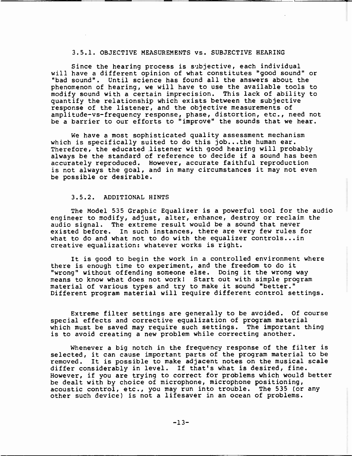# 3.5.1. OBJECTIVE MEASUREMENTS vs. SUBJECTIVE HEARING

Since the hearing process is subjective, each individual will have a different opinion of what constitutes "good sound" or "bad sound". Until science has found all the answers about the phenomenon of hearing, we will have to use the available tools to modify sound with a certain imprecision. This lack of ability to quantify the relationship which exists between the subjective response of the listener, and the objective measurements of amplitude-vs-frequency response, phase, distortion, etc., need not be a barrier to our efforts to "improve" the sounds that we hear.

We have a most sophisticated quality assessment mechanism which is specifically suited to do this job...the human ear. Therefore, the educated listener with good hearing will probably always be the standard of reference to decide if a sound has been accurately reproduced. However, accurate faithful reproduction is not always the goal, and in many circumstances it may not even be possible or desirable.

# 3.5.2. ADDITIONAL HINTS

The Model 535 Graphic Equalizer is a powerful tool for the audio engineer to modify, adjust, alter, enhance, destroy or reclaim the audio signal. The extreme result would be a sound that never existed before. In such instances, there are very few rules for what to do and what not to do with the equalizer controls...in creative equalization: whatever works is right.

It is good to begin the work in a controlled environment where there is enough time to experiment, and the freedom to do it "wrong" without offending someone else. Doing it the wrong way means to know what does not work! Start out with simple program material of various types and try to make it sound "better." Different program material will require different control settings.

Extreme filter settings are generally to be avoided. Of course special effects and corrective equalization of program material which must be saved may require such settings. The important thing is to avoid creating a new problem while correcting another.

Whenever a big notch in the frequency response of the filter is selected, it can cause important parts of the program material to be removed. It is possible to make adjacent notes on the musical scale differ considerably in level. If that's what is desired, fine. However, if you are trying to correct for problems which would better be dealt with by choice of microphone, microphone positioning, acoustic control, etc., you may run into trouble. The 535 (or any other such device) is not a lifesaver in an ocean of problems.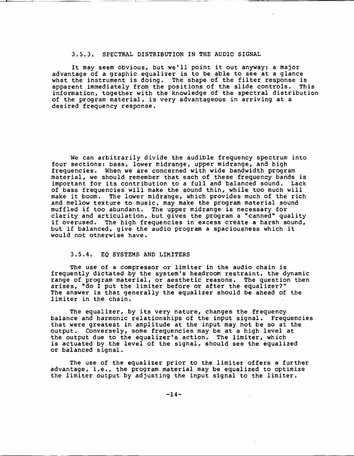### 3.5.3. SPECTRAL DISTRIBUTION IN THE AUDIO SIGNAL

It may seem obvious, but we'll point it out anyway; a major advantage of a graphic equalizer is to be able to see at a glance what the instrument is doing. The shape of the filter response is<br>apparent immediately from the positions of the slide controls. This apparent immediately from the positions of the slide controls. information, together with the knowledge of the spectral distribution of the program material, is very advantageous in arriving at a desired frequency response.

We can arbitrarily divide the audible frequency spectrum into four sections: bass, lower midrange, upper midrange, and high frequencies. When we are concerned with wide bandwidth program material, we should remember that each of these frequency bands is important for its contribution to a full and balanced sound. Lack of bass frequencies will make the sound thin, while too much will make it boom. The lower midrange, which provides much of the rich and mellow texture to music, may make the program material sound muffled if too abundant. The upper midrange is necessary for clarity and articulation, but gives the program a "canned" quality if overused. The high frequencies in excess create a harsh sound, but if balanced, give the audio program a spaciousness which it would not otherwise have.

#### 3.5.4. EQ SYSTEMS AND LIMITERS

The use of a compressor or limiter in the audio chain is frequently dictated by the system's headroom restraint, the dynamic range of program material, or aesthetic reasons. The question then arises, "do I put the limiter before or after the equalizer?" The answer is that generally the equalizer should be ahead of the limiter in the chain.

The equalizer, by its very nature, changes the frequency balance and harmonic relationships of the input signal. Frequencies that were greatest in amplitude at the input may not be so at the output. Conversely, some frequencies may be at a high level at the output due to the equalizer's action. The limiter, which is actuated by the level of the signal, should see the equalized or balanced signal.

The use of the equalizer prior to the limiter offers a further advantage, i.e., the program material may be equalized to optimize the limiter output by adjusting the input signal to the limiter.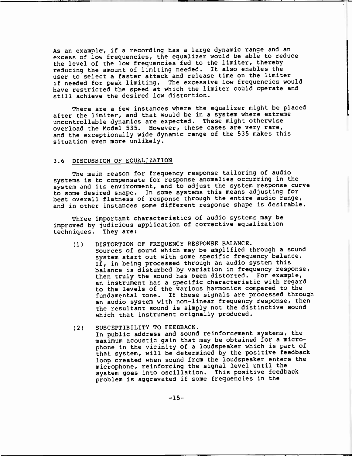As an example, if a recording has a large dynamic range and an excess of low frequencies, the equalizer would be able to reduce the level of the low frequencies fed to the limiter, thereby reducing the amount of limiting needed. It also enables the user to select a faster attack and release time on the limiter if needed for peak limiting. The excessive low frequencies would have restricted the speed at which the limiter could operate and still achieve the desired low distortion.

There are a few instances where the equalizer might be placed after the limiter, and that would be in a system where extreme uncontrollable dynamics are expected. These might otherwise overload the Model 535. However, these cases are very rare, and the exceptionally wide dynamic range of the 535 makes this situation even more unlikely.

### 3.6 DISCUSSION OF EQUALIZATION

The main reason for frequency response tailoring of audio systems is to compensate for response anomalies occurring in the system and its environment, and to adjust the system response curve to some desired shape. In some systems this means adjusting for best overall flatness of response through the entire audio range, and in other instances some different response shape is desirable.

Three important characteristics of audio systems may be improved by judicious application of corrective equalization techniques. They are:

- (1) DISTORTION OF FREQUENCY RESPONSE BALANCE. Sources of sound which may be amplified through a sound system start out with some specific frequency balance. If, in being processed through an audio system this balance is disturbed by variation in frequency response, then truly the sound has been distorted. For example, an instrument has a specific characteristic with regard to the levels of the various harmonics compared to the fundamental tone. If these signals are processed through an audio system with non-linear frequency response, then the resultant sound is simply not the distinctive sound which that instrument orignally produced.
- (2) SUSCEPTIBILITY TO FEEDBACK.

In public address and sound reinforcement systems, the maximum acoustic gain that may be obtained for a microphone in the vicinity of a loudspeaker which is part of that system, will be determined by the positive feedback loop created when sound from the loudspeaker enters the microphone, reinforcing the signal level until the system goes into oscillation. This positive feedback problem is aggravated if some frequencies in the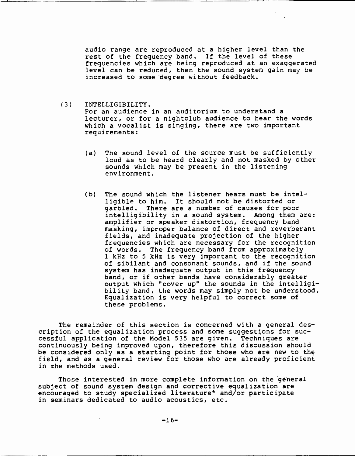audio range are reproduced at a higher level than the rest of the frequency band. If the level of these frequencies which are being reproduced at an exaggerated level can be reduced, then the sound system gain may be increased to some degree without feedback.

(3) INTELLIGIBILITY. For an audience in an auditorium to understand a

lecturer, or for a nightclub audience to hear the words which a vocalist is singing, there are two important requirements:

- (a) The sound level of the source must be sufficiently loud as to be heard clearly and not masked by other sounds which may be present in the listening environment.
- (b) The sound which the listener hears must be intelligible to him. It should not be distorted or garbled. There are a number of causes for poor intelligibility in a sound system. Among them are: amplifier or speaker distortion, frequency band masking, improper balance of direct and reverberant fields, and inadequate projection of the higher frequencies which are necessary for the recognition of words. The frequency band from approximately <sup>1</sup>kHz to 5 kHz is very important to the recognition of sibilant and consonant sounds, and if the sound system has inadequate output in this frequency band, or if other bands have considerably greater output which "cover up" the sounds in the intelligibility band, the words may simply not be understood. Equalization is very helpful to correct some of these problems.

The remainder of this section is concerned with a general description of the equalization process and some suggestions for successful application of the Model 535 are given. Techniques are continuously being improved upon, therefore this discussion should be considered only as a starting point for those who are new to the field, and as a general review for those who are already proficient in the methods used.

Those interested in more complete information on the general subject of sound system design and corrective equalization are encouraged to study specialized literature\* and/or participate in seminars dedicated to audio acoustics, etc.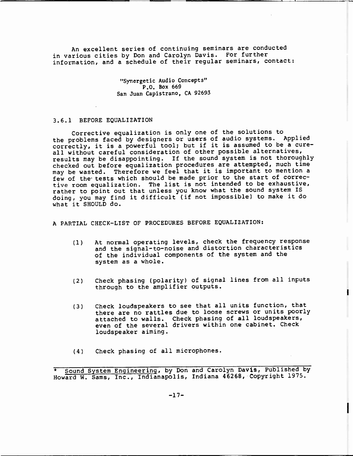An excellent series of continuing seminars are conducted in various cities by Don and Carolyn Davis. For further information, and a schedule of their regular seminars, contact:

> "Synergetic Audio Concepts" P.O. Box 669 San Juan Capistrano, CA 92693

#### 3.6.1 BEFORE EQUALIZATION

Corrective equalization is only one of the solutions to the problems faced by designers or users of audio systems. Applied correctly, it is a powerful tool; but if it is assumed to be a cureall without careful consideration of other possible alternatives, results may be disappointing. If the sound system is not thoroughly checked out before equalization procedures are attempted, much time may be wasted. Therefore we feel that it is important to mention <sup>a</sup>few of the tests which should be made prior to the start of corrective room equalization. The list is not intended to be exhaustive, rather to point out that unless you know what the sound system IS doing, you may find it difficult (if not impossible) to make it do what it SHOULD do.

<sup>A</sup>PARTIAL CHECK-LIST OF PROCEDURES BEFORE EQUALIZATION:

- (1) At normal operating levels, check the frequency response and the signal-to-noise and distortion characteristics of the individual components of the system and the system as a whole.
- (2) Check phasing (polarity) of signal lines from all inputs through to the amplifier outputs.
- (3) Check loudspeakers to see that all units function, that there are no rattles due to loose screws or units poorly attached to walls. Check phasing of all loudspeakers, even of the several drivers within one cabinet. Check loudspeaker aiming.
- (4) Check phasing of all microphones.

Sound System Engineering, by Don and Carolyn Davis, Published by Howard W. Sams, Inc., Indianapolis, Indiana 46268, Copyright 1975.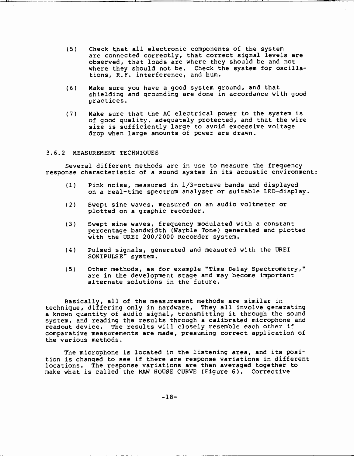- (5) Check that all electronic components of the system are connected correctly, that correct signal levels are observed, that loads are where they should be and not where they should not be. Check the system for oscillations, R.E. interference, and hum.
- (6) Make sure you have a good system ground, and that shielding and grounding are done in accordance with good practices.
- (7) Make sure that the AC electrical power to the system is of good quality, adequately protected, and that the wire size is sufficiently large to avoid excessive voltage drop when large amounts of power are drawn.

## 3.6.2 MEASUREMENT TECHNIQUES

Several different methods are in use to measure the frequency response characteristic of a sound system in its acoustic environment:

- (1) Pink noise, measured in 1/3 -octave bands and displayed on a real-time spectrum analyzer or suitable LED-display.
- (2) Swept sine waves, measured on an audio voltmeter or plotted on a graphic recorder.
- (3) Swept sine waves, frequency modulated with a constant percentage bandwidth (Warble Tone) generated and plotted with the UREI 200/2000 Recorder system.
- (4) Pulsed signals, generated and measured with the UREI SONIPULSE'" system.
- (5) Other methods, as for example "Time Delay Spectrometry," are in the development stage and may become important alternate solutions in the future.

Basically, all of the measurement methods are similar in technique, differing only in hardware. They all involve generating <sup>a</sup>known quantity of audio signal, transmitting it through the sound system, and reading the results through a calibrated microphone and readout device. The results will closely resemble each other if comparative measurements are made, presuming correct application of the various methods.

The microphone is located in the listening area, and its position is changed to see if there are response variations in different locations. The response variations are then averaged together to make what is called the RAW HOUSE CURVE (Figure 6). Corrective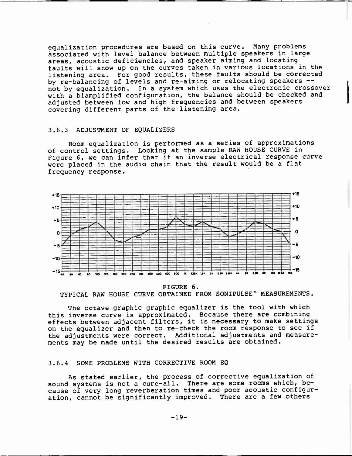equalization procedures are based on this curve. Many problems associated with level balance between multiple speakers in large areas, acoustic deficiencies, and speaker aiming and locating faults will show up on the curves taken in various locations in the listening area. For good results, these faults should be corrected by re-balancing of levels and re-aiming or relocating speakers -not by equalization. In a system which uses the electronic crossover with a biamplified configuration, the balance should be checked and adjusted between low and high frequencies and between speakers covering different parts of the listening area.

#### 3.6.3 ADJUSTMENT OF EQUALIZERS

Room equalization is performed as a series of approximations of control settings. Looking at the sample RAW HOUSE CURVE in Figure 6, we can infer that if an inverse electrical response curve were placed in the audio chain that the result would be a flat frequency response.



FIGURE 6. TYPICAL RAW HOUSE CURVE OBTAINED FROM SONIPULSE" MEASUREMENTS.

The octave graphic graphic equalizer is the tool with which this inverse curve is approximated. Because there are combining effects between adjacent filters, it is necessary to make settings on the equalizer and then to re-check the room response to see if the adjustments were correct. Additional adjustments and measurements may be made until the desired results are obtained.

# 3.6.4 SOME PROBLEMS WITH CORRECTIVE ROOM EQ

As stated earlier, the process of corrective equalization of sound systems is not a cure-all. There are some rooms which, because of very long reverberation times and poor acoustic configuration, cannot be significantly improved. There are a few others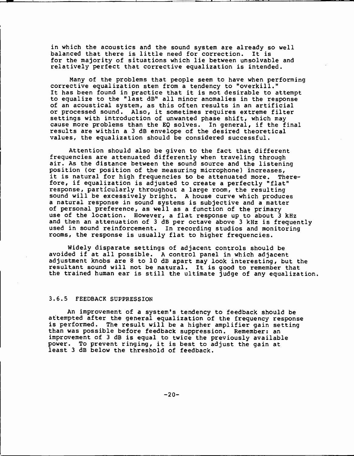in which the acoustics and the sound system are already so well balanced that there is little need for correction. It is for the majority of situations which lie between unsolvable and relatively perfect that corrective equalization is intended.

Many of the problems that people seem to have when performing corrective equalization stem from a tendency to "overkill." It has been found in practice that it is not desirable to attempt to equalize to the "last dB" all minor anomalies in the response of an acoustical system, as this often results in an artificial or processed sound. Also, it sometimes requires extreme filter settings with introduction of unwanted phase shift, which may cause more problems than the EQ solves. In general, if the final results are within <sup>a</sup>3 dB envelope of the desired theoretical values, the equalization should be considered successful.

Attention should also be given to the fact that different frequencies are attenuated differently when traveling through air. As the distance between the sound source and the listening position (or position of the measuring microphone) increases, it is natural for high frequencies to be attenuated more. Therefore, if equalization is adjusted to create a perfectly "flat" response, particularly throughout a large room, the resulting sound will be excessively bright. A house curve which produces a natural response in sound systems is subjective and a matter of personal preference, as well as a function of the primary use of the location. However, a flat response up to about 3 kHz and then an attenuation of 3 dB per octave above 3 kHz is frequently used in sound reinforcement. In recording studios and monitoring rooms, the response is usually flat to higher frequencies.

Widely disparate settings of adjacent controls should be avoided if at all possible. A control panel in which adjacent adjustment knobs are 8 to 10 dB apart may look interesting, but the resultant sound will not be natural. It is good to remember that the trained human ear is still the ultimate judge of any equalization.

# 3.6.5 FEEDBACK SUPPRESSION

An improvement of a system's tendency to feedback should be attempted after the general equalization of the frequency response is performed. The result will be a higher amplifier gain setting<br>than was possible before feedback suppression. Remember: an improvement of 3 dB is equal to twice the previously available power. To prevent ringing, it is best to adjust the gain at least 3 dB below the threshold of feedback.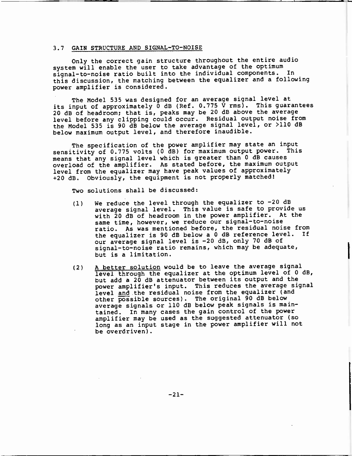#### 3.7 GAIN STRUCTURE AND SIGNAL-TO-NOISE

Only the correct gain structure throughout the entire audio system will enable the user to take advantage of the optimum signal-to-noise ratio built into the individual components. In this discussion, the matching between the equalizer and a following power amplifier is considered.

The Model 535 was designed for an average signal level at its input of approximately  $\overline{0}$  dB (Ref. 0.775  $\overline{V}$  rms). This guarantees 20 dB of headroom; that is, peaks may be 20 dB above the average level before any clipping could occur. Residual output noise from the Model 535 is 90 dB below the average signal level, or >110 dB below maximum output level, and therefore inaudible.

The specification of the power amplifier may state an input sensitivity of 0.775 volts (0 dB) for maximum output power. This means that any signal level which is greater than 0 dB causes overload of the amplifier. As stated before, the maximum output level from the equalizer may have peak values of approximately +20 dB. Obviously, the equipment is not properly matched!

Two solutions shall be discussed:

- (1) We reduce the level through the equalizer to -20 dB average signal level. This value is safe to provide us with 20 dB of headroom in the power amplifier. At the same time, however, we reduce our signal-to-noise ratio. As was mentioned before, the residual noise from the equalizer is 90 dB below a 0 dB reference level. If our average signal level is -20 dB, only 70 dB of signal-to-noise ratio remains, which may be adequate, but is a limitation.
- (2) A better solution would be to leave the average signal level through the equalizer at the optimum level of 0 dB, but add a 20 dB attenuator between its output and the power amplifier's input. This reduces the average signal level and the residual noise from the equalizer (and other possible sources). The original 90 dB below average signals or 110 dB below peak signals is maintained. In many cases the gain control of the power amplifier may be used as the suggested attenuator (so long as an input stage in the power amplifier will not be overdriven).

 $-21-$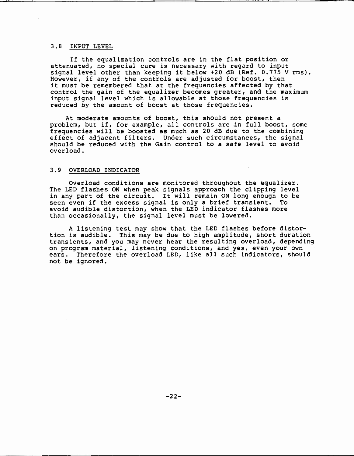# 3.8 INPUT LEVEL

If the equalization controls are in the flat position or attenuated, no special care is necessary with regard to input signal level other than keeping it below +20 dB (Ref. 0.775 V rms). However, if any of the controls are adjusted for boost, then it must be remembered that at the frequencies affected by that control the gain of the equalizer becomes greater, and the maximum input signal level which is allowable at those frequencies is reduced by the amount of boost at those frequencies.

At moderate amounts of boost, this should not present a problem, but if, for example, all controls are in full boost, some frequencies will be boosted as much as 20 dB due to the combining effect of adjacent filters. Under such circumstances, the signal should be reduced with the Gain control to a safe level to avoid overload.

# 3.9 OVERLOAD INDICATOR

Overload conditions are monitored throughout the equalizer. The LED flashes ON when peak signals approach the clipping level in any part of the circuit. It will remain ON long enough to be seen even if the excess signal is only a brief transient. To avoid audible distortion, when the LED indicator flashes more than occasionally, the signal level must be lowered.

A listening test may show that the LED flashes before distortion is audible. This may be due to high amplitude, short duration transients, and you may never hear the resulting overload, depending on program material, listening conditions, and yes, even your own ears. Therefore the overload LED, like all such indicators, should not be ignored.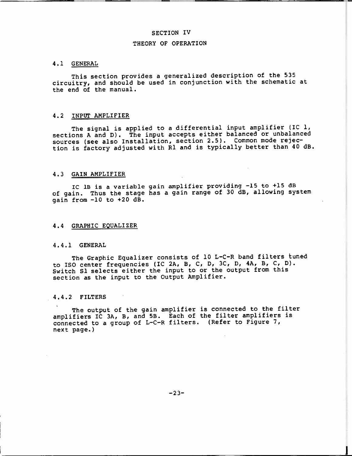## SECTION IV

#### THEORY OF OPERATION

#### 4.1 GENERAL

This section provides a generalized description of the 535 circuitry, and should be used in conjunction with the schematic at the end of the manual.

### 4.2 INPUT AMPLIFIER

The signal is applied to a differential input amplifier (IC 1, sections A and D). The input accepts either balanced or unbalanced sources (see also Installation, section 2.5). Common mode rejection is factory adjusted with R1 and is typically better than 40 dB.

#### 4.3 GAIN AMPLIFIER

IC 1B is a variable gain amplifier providing -15 to +15 dB of gain. Thus the stage has a gain range of 30 dB, allowing system gain from -10 to +20 dB.

# 4.4 GRAPHIC EQUALIZER

#### 4.4.1 GENERAL

The Graphic Equalizer consists of 10 L-C-R band filters tuned to ISO center frequencies (IC 2A, B, C, D, 3C, D, 4A, B, C, D). Switch S1 selects either the input to or the output from this section as the input to the Output Amplifier.

#### 4.4.2 FILTERS

The output of the gain amplifier is connected to the filter amplifiers IC 3A, B, and 5B. Each of the filter amplifiers is connected to a group of L-C-R filters. (Refer to Figure 7, next page.)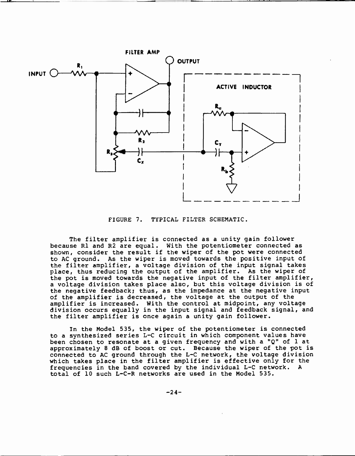

FIGURE 7. TYPICAL FILTER SCHEMATIC.

The filter amplifier is connected as a unity gain follower because R1 and R2 are equal. With the potentiometer connected as shown, consider the result if the wiper of the pot were connected to AC ground. As the wiper is moved towards the positive input of the filter amplifier, a voltage division of the input signal takes place, thus reducing the output of the amplifier. As the wiper of the pot is moved towards the negative input of the filter amplifier, <sup>a</sup>voltage division takes place also, but this voltage division is of the negative feedback; thus, as the impedance at the negative input of the amplifier is decreased, the voltage at the output of the amplifier is increased. With the control at midpoint, any voltage division occurs equally in the input signal and feedback signal, and the filter amplifier is once again a unity gain follower.

In the Model 535, the wiper of the potentiometer is connected to a synthesized series L-C circuit in which component values have been chosen to resonate at a given frequency and with a "Q" of 1 at approximately 8 dB of boost or cut. Because the wiper of the pot is connected to AC ground through the L-C network, the voltage division which takes place in the filter amplifier is effective only for the frequencies in the band covered by the individual L-C network. A total of 10 such L-C-R networks are used in the Model 535.

 $-24-$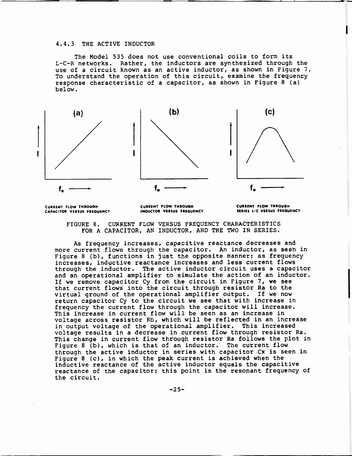#### 4.4.3 THE ACTIVE INDUCTOR

The Model 535 does not use conventional coils to form its L-C-R networks. Rather, the inductors are synthesized through the use of a circuit known as an active inductor, as shown in Figure 7. To understand the operation of this circuit, examine the frequency response characteristic of a capacitor, as shown in Figure 8 (a) below.



CURRENT FLOW THROUGH CAPACITOR VERSUS FREQUENCY CURRENT FLOW THROUGH CURRENT FLOW THROUGH<br>INDUCTOR VERSUS FREQUENCY SERIES L-C VERSUS FREQU

SERIES L-C VERSUS FREQUENCY

FIGURE 8. CURRENT FLOW VERSUS FREQUENCY CHARACTERISTICS FOR A CAPACITOR, AN INDUCTOR, AND THE TWO IN SERIES.

As frequency increases, capacitive reactance decreases and more current flows through the capacitor. An inductor, as seen in Figure 8 (b), functions in just the opposite manner; as frequency increases, inductive reactance increases and less current flows through the inductor. The active inductor circuit uses a capacitor and an operational amplifier to simulate the action of an inductor. If we remove capacitor Cy from the circuit in Figure 7, we see that current flows into the circuit through resistor Ra to the virtual ground of the operational amplifier output. If we now return capacitor Cy to the circuit we see that with increase in frequency the current flow through the capacitor will increase. This increase in current flow will be seen as an increase in voltage across resistor Rb, which will be reflected in an increase in output voltage of the operational amplifier. This increased voltage results in a decrease in current flow through resistor Ra. This change in current flow through resistor Ra follows the plot in Figure 8 (b), which is that of an inductor. The current flow through the active inductor in series with capacitor Cx is seen in Figure 8 (c), in which the peak current is achieved when the inductive reactance of the active inductor equals the capacitive reactance of the capacitor; this point is the resonant frequency of the circuit.

 $-25-$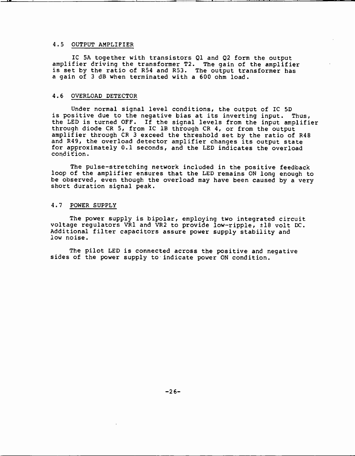## 4.5 OUTPUT AMPLIFIER

IC SA together with transistors Ql and Q2 form the output amplifier driving the transformer T2. The gain of the amplifier is set by the ratio of R54 and R53. The output transformer has <sup>a</sup>gain of 3 dB when terminated with a 600 ohm load.

#### 4.6 OVERLOAD DETECTOR

Under normal signal level conditions, the output of IC 5D is positive due to the negative bias at its inverting input. Thus, the LED is turned OFF. If the signal levels from the input amplifier through diode CR 5, from IC 1B through CR 4, or from the output amplifier through CR 3 exceed the threshold set by the ratio of R48 and R49, the overload detector amplifier changes its output state for approximately 0.1 seconds, and the LED indicates the overload condition.

The pulse -stretching network included in the positive feedback loop of the amplifier ensures that the LED remains ON long enough to be observed, even though the overload may have been caused by a very short duration signal peak.

#### 4.7 POWER SUPPLY

The power supply is bipolar, employing two integrated circuit voltage regulators VR1 and VR2 to provide low -ripple, ±18 volt DC. Additional filter capacitors assure power supply stability and low noise.

The pilot LED is connected across the positive and negative sides of the power supply to indicate power ON condition.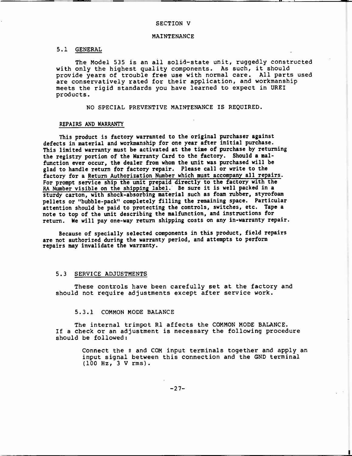#### SECTION V

#### MAINTENANCE

# 5.1 GENERAL

The Model 535 is an all solid-state unit, ruggedly constructed with only the highest quality components. As such, it should provide years of trouble free use with normal care. All parts used are conservatively rated for their application, and workmanship meets the rigid standards you have learned to expect in UREI products.

NO SPECIAL PREVENTIVE MAINTENANCE IS REQUIRED.

#### REPAIRS AND WARRANTY

This product is factory warranted to the original purchaser against defects in material and workmanship for one year after initial purchase. This limited warranty must be activated at the time of purchase by returning the registry portion of the Warranty Card to the factory. Should a malfunction ever occur, the dealer from whom the unit was purchased will be glad to handle return for factory repair. Please call or write to the factory for a Return Authorization Number which must accompany all repairs. For prompt service ship the unit prepaid directly to the factory with the RA Number visible on the shipping label. Be sure it is well packed in <sup>a</sup>sturdy carton, with shock -absorbing material such as foam rubber, styrofoam pellets or "bubble -pack" completely filling the remaining space. Particular attention should be paid to protecting the controls, switches, etc. Tape <sup>a</sup>note to top of the unit describing the malfunction, and instructions for return. We will pay one-way return shipping costs on any in -warranty repair.

Because of specially selected components in this product, field repairs are not authorized during the warranty period, and attempts to perform repairs may invalidate the warranty.

#### 5.3 SERVICE ADJUSTMENTS

These controls have been carefully set at the factory and should not require adjustments except after service work.

#### 5.3.1 COMMON MODE BALANCE

The internal trimpot R1 affects the COMMON MODE BALANCE. If a check or an adjustment is necessary the following procedure should be followed:

> Connect the ± and COM input terminals together and apply an input signal between this connection and the GND terminal (100 Hz, 3 V rms).

> > $-27-$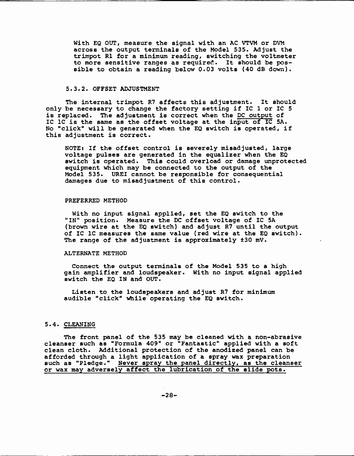With EQ OUT, measure the signal with an AC VTVM or DVM across the output terminals of the Model 535. Adjust the trimpot R1 for a minimum reading, switching the voltmeter to more sensitive ranges as required. It should be possible to obtain a reading below 0.03 volts (40 dB down).

#### 5.3.2. OFFSET ADJUSTMENT

The internal trimpot R7 affects this adjustment. It should only be necessary to change the factory setting if IC i or IC 5 is replaced. The adjustment is correct when the DC output of IC 1C is the same as the offset voltage at the input of IC 5A. No "click" will be generated when the EQ switch is operated, if this adjustment is correct.

NOTE: If the offset control is severely misadjusted, large voltage pulses are generated in the equalizer when the EQ switch is operated. This could overload or damage unprotected equipment which may be connected to the output of the Model 535. UREI cannot be responsible for consequential damages due to misadjustment of this control.

#### PREFERRED METHOD

With no input signal applied, set the EQ switch to the "IN" position. Measure the DC offset voltage of IC 5A (brown wire at the EQ switch) and adjust R7 until the output of IC 1C measures the same value (red wire at the EQ switch). The range of the adjustment is approximately t30 mV.

#### ALTERNATE METHOD

Connect the output terminals of the Model 535 to a high gain amplifier and loudspeaker. With no input signal applied switch the EQ IN and OUT.

Listen to the loudspeakers and adjust R7 for minimum audible "click" while operating the EQ switch.

# 5.4. CLEANING

The front panel of the 535 may be cleaned with a non-abrasive cleanser such as "Formula 409" or "Fantastic" applied with a soft clean cloth. Additional protection of the anodized panel can be afforded through a light application of a spray wax preparation such as "Pledge." Never spray the panel directly, as the cleanser or wax may adversely affect the lubrication of the slide pots.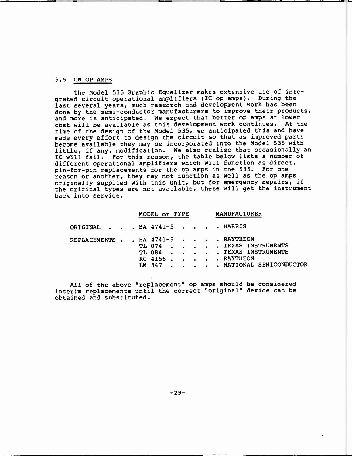### 5.5 ON OP AMPS

The Model 535 Graphic Equalizer makes extensive use of integrated circuit operational amplifiers (IC op amps). During the last several years, much research and development work has been done by the semi-conductor manufacturers to improve their products, and more is anticipated. We expect that better op amps at lower cost will be available as this development work continues. At the time of the design of the Model 535, we anticipated this and have made every effort to design the circuit so that as improved parts become available they may be incorporated into the Model 535 with little, if any, modification. We also realize that occasionally an IC will fail. For this reason, the table below lists a number of different operational amplifiers which will function as direct, pin-for-pin replacements for the op amps in the 535. For one reason or another, they may not function as well as the op amps originally supplied with this unit, but for emergency repairs, if the original types are not available, these will get the instrument back into service.

|  | MODEL OF TYPE MANUFACTURER                          |                                                                                       |
|--|-----------------------------------------------------|---------------------------------------------------------------------------------------|
|  | ORIGINAL HA 4741-5 HARRIS                           |                                                                                       |
|  | REPLACEMENTS HA 4741-5 RAYTHEON<br>RC 4156 RAYTHEON | TL 074 TEXAS INSTRUMENTS<br>TL 084 TEXAS INSTRUMENTS<br>LM 347 NATIONAL SEMICONDUCTOR |

All of the above "replacement" op amps should be considered interim replacements until the correct "original" device can be obtained and substituted.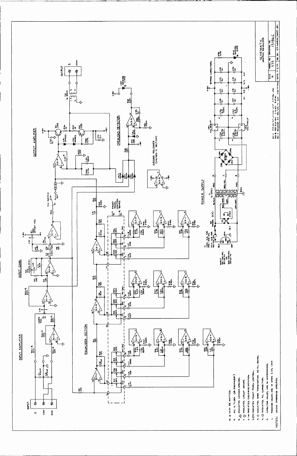